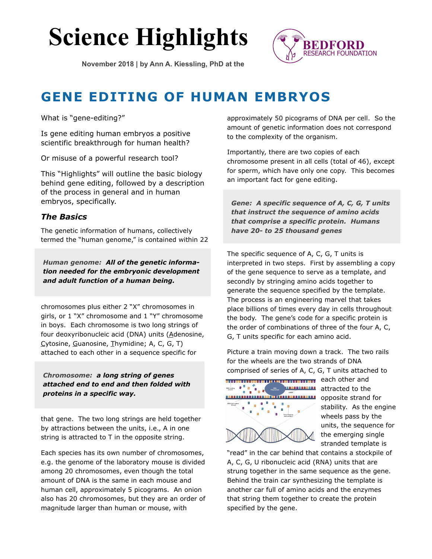# **Science Highlights**

**November 2018 | by Ann A. Kiessling, PhD at the**



# **GENE EDITING OF HUMAN EMBRYOS**

What is "gene-editing?"

Is gene editing human embryos a positive scientific breakthrough for human health?

Or misuse of a powerful research tool?

This "Highlights" will outline the basic biology behind gene editing, followed by a description of the process in general and in human embryos, specifically.

#### *The Basics*

The genetic information of humans, collectively termed the "human genome," is contained within 22

*Human genome: All of the genetic information needed for the embryonic development and adult function of a human being.* 

chromosomes plus either 2 "X" chromosomes in girls, or 1 "X" chromosome and 1 "Y" chromosome in boys. Each chromosome is two long strings of four deoxyribonucleic acid (DNA) units (Adenosine, Cytosine, Guanosine, Thymidine; A, C, G, T) attached to each other in a sequence specific for

*Chromosome: a long string of genes attached end to end and then folded with proteins in a specific way.*

that gene. The two long strings are held together by attractions between the units, i.e., A in one string is attracted to T in the opposite string.

Each species has its own number of chromosomes, e.g. the genome of the laboratory mouse is divided among 20 chromosomes, even though the total amount of DNA is the same in each mouse and human cell, approximately 5 picograms. An onion also has 20 chromosomes, but they are an order of magnitude larger than human or mouse, with

approximately 50 picograms of DNA per cell. So the amount of genetic information does not correspond to the complexity of the organism.

Importantly, there are two copies of each chromosome present in all cells (total of 46), except for sperm, which have only one copy. This becomes an important fact for gene editing.

*Gene: A specific sequence of A, C, G, T units that instruct the sequence of amino acids that comprise a specific protein. Humans have 20- to 25 thousand genes*

The specific sequence of A, C, G, T units is interpreted in two steps. First by assembling a copy of the gene sequence to serve as a template, and secondly by stringing amino acids together to generate the sequence specified by the template. The process is an engineering marvel that takes place billions of times every day in cells throughout the body. The gene's code for a specific protein is the order of combinations of three of the four A, C, G, T units specific for each amino acid.

Picture a train moving down a track. The two rails for the wheels are the two strands of DNA comprised of series of A, C, G, T units attached to



attracted to the opposite strand for stability. As the engine wheels pass by the units, the sequence for the emerging single stranded template is

"read" in the car behind that contains a stockpile of A, C, G, U ribonucleic acid (RNA) units that are strung together in the same sequence as the gene. Behind the train car synthesizing the template is another car full of amino acids and the enzymes that string them together to create the protein specified by the gene.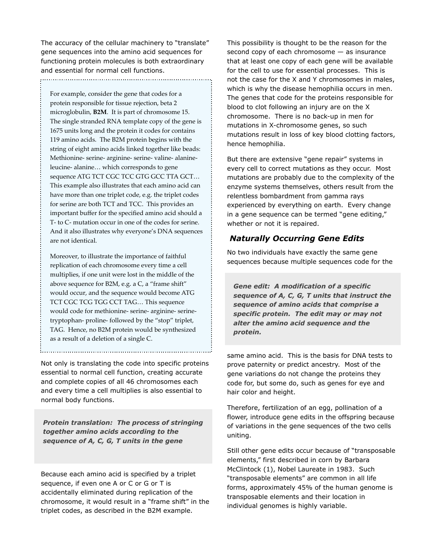The accuracy of the cellular machinery to "translate" gene sequences into the amino acid sequences for functioning protein molecules is both extraordinary and essential for normal cell functions. 

For example, consider the gene that codes for a protein responsible for tissue rejection, beta 2 microglobulin, **B2M**. It is part of chromosome 15. The single stranded RNA template copy of the gene is 1675 units long and the protein it codes for contains 119 amino acids. The B2M protein begins with the string of eight amino acids linked together like beads: Methionine- serine- arginine- serine- valine- alanineleucine- alanine… which corresponds to gene sequence ATG TCT CGC TCC GTG GCC TTA GCT... This example also illustrates that each amino acid can have more than one triplet code, e.g. the triplet codes for serine are both TCT and TCC. This provides an important buffer for the specified amino acid should a T- to C- mutation occur in one of the codes for serine. And it also illustrates why everyone's DNA sequences are not identical.

Moreover, to illustrate the importance of faithful replication of each chromosome every time a cell multiplies, if one unit were lost in the middle of the above sequence for B2M, e.g. a C, a "frame shift" would occur, and the sequence would become ATG TCT CGC TCG TGG CCT TAG… This sequence would code for methionine- serine- arginine- serinetryptophan- proline- followed by the "stop" triplet, TAG. Hence, no B2M protein would be synthesized as a result of a deletion of a single C.

Not only is translating the code into specific proteins essential to normal cell function, creating accurate and complete copies of all 46 chromosomes each and every time a cell multiplies is also essential to normal body functions.

*Protein translation: The process of stringing together amino acids according to the sequence of A, C, G, T units in the gene*

Because each amino acid is specified by a triplet sequence, if even one A or C or G or T is accidentally eliminated during replication of the chromosome, it would result in a "frame shift" in the triplet codes, as described in the B2M example.

This possibility is thought to be the reason for the second copy of each chromosome — as insurance that at least one copy of each gene will be available for the cell to use for essential processes. This is not the case for the X and Y chromosomes in males, which is why the disease hemophilia occurs in men. The genes that code for the proteins responsible for blood to clot following an injury are on the X chromosome. There is no back-up in men for mutations in X-chromosome genes, so such mutations result in loss of key blood clotting factors, hence hemophilia.

But there are extensive "gene repair" systems in every cell to correct mutations as they occur. Most mutations are probably due to the complexity of the enzyme systems themselves, others result from the relentless bombardment from gamma rays experienced by everything on earth. Every change in a gene sequence can be termed "gene editing," whether or not it is repaired.

## *Naturally Occurring Gene Edits*

No two individuals have exactly the same gene sequences because multiple sequences code for the

*Gene edit: A modification of a specific sequence of A, C, G, T units that instruct the sequence of amino acids that comprise a specific protein. The edit may or may not alter the amino acid sequence and the protein.*

same amino acid. This is the basis for DNA tests to prove paternity or predict ancestry. Most of the gene variations do not change the proteins they code for, but some do, such as genes for eye and hair color and height.

Therefore, fertilization of an egg, pollination of a flower, introduce gene edits in the offspring because of variations in the gene sequences of the two cells uniting.

Still other gene edits occur because of "transposable elements," first described in corn by Barbara McClintock (1), Nobel Laureate in 1983. Such "transposable elements" are common in all life forms, approximately 45% of the human genome is transposable elements and their location in individual genomes is highly variable.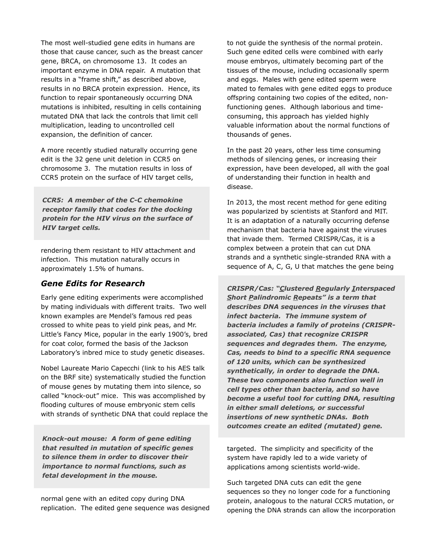The most well-studied gene edits in humans are those that cause cancer, such as the breast cancer gene, BRCA, on chromosome 13. It codes an important enzyme in DNA repair. A mutation that results in a "frame shift," as described above, results in no BRCA protein expression. Hence, its function to repair spontaneously occurring DNA mutations is inhibited, resulting in cells containing mutated DNA that lack the controls that limit cell multiplication, leading to uncontrolled cell expansion, the definition of cancer.

A more recently studied naturally occurring gene edit is the 32 gene unit deletion in CCR5 on chromosome 3. The mutation results in loss of CCR5 protein on the surface of HIV target cells,

*CCR5: A member of the C-C chemokine receptor family that codes for the docking protein for the HIV virus on the surface of HIV target cells.*

rendering them resistant to HIV attachment and infection. This mutation naturally occurs in approximately 1.5% of humans.

#### *Gene Edits for Research*

Early gene editing experiments were accomplished by mating individuals with different traits. Two well known examples are Mendel's famous red peas crossed to white peas to yield pink peas, and Mr. Little's Fancy Mice, popular in the early 1900's, bred for coat color, formed the basis of the Jackson Laboratory's inbred mice to study genetic diseases.

Nobel Laureate Mario Capecchi (link to his AES talk on the BRF site) systematically studied the function of mouse genes by mutating them into silence, so called "knock-out" mice. This was accomplished by flooding cultures of mouse embryonic stem cells with strands of synthetic DNA that could replace the

*Knock-out mouse: A form of gene editing that resulted in mutation of specific genes to silence them in order to discover their importance to normal functions, such as fetal development in the mouse.*

normal gene with an edited copy during DNA replication. The edited gene sequence was designed to not guide the synthesis of the normal protein. Such gene edited cells were combined with early mouse embryos, ultimately becoming part of the tissues of the mouse, including occasionally sperm and eggs. Males with gene edited sperm were mated to females with gene edited eggs to produce offspring containing two copies of the edited, nonfunctioning genes. Although laborious and timeconsuming, this approach has yielded highly valuable information about the normal functions of thousands of genes.

In the past 20 years, other less time consuming methods of silencing genes, or increasing their expression, have been developed, all with the goal of understanding their function in health and disease.

In 2013, the most recent method for gene editing was popularized by scientists at Stanford and MIT. It is an adaptation of a naturally occurring defense mechanism that bacteria have against the viruses that invade them. Termed CRISPR/Cas, it is a complex between a protein that can cut DNA strands and a synthetic single-stranded RNA with a sequence of A, C, G, U that matches the gene being

*CRISPR/Cas: "Clustered Regularly Interspaced Short Palindromic Repeats" is a term that describes DNA sequences in the viruses that infect bacteria. The immune system of bacteria includes a family of proteins (CRISPRassociated, Cas) that recognize CRISPR sequences and degrades them. The enzyme, Cas, needs to bind to a specific RNA sequence of 120 units, which can be synthesized synthetically, in order to degrade the DNA. These two components also function well in cell types other than bacteria, and so have become a useful tool for cutting DNA, resulting in either small deletions, or successful insertions of new synthetic DNAs. Both outcomes create an edited (mutated) gene.* 

targeted. The simplicity and specificity of the system have rapidly led to a wide variety of applications among scientists world-wide.

Such targeted DNA cuts can edit the gene sequences so they no longer code for a functioning protein, analogous to the natural CCR5 mutation, or opening the DNA strands can allow the incorporation